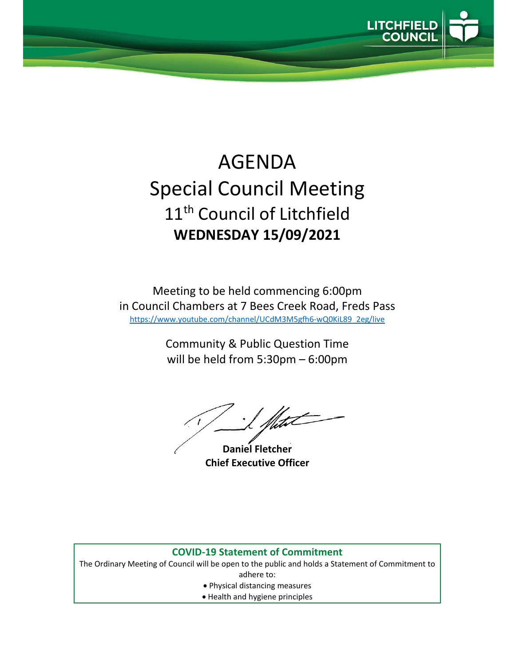

## AGENDA Special Council Meeting 11<sup>th</sup> Council of Litchfield **WEDNESDAY 15/09/2021**

Meeting to be held commencing 6:00pm in Council Chambers at 7 Bees Creek Road, Freds Pass https://www.youtube.com/channel/UCdM3M5gfh6‐wQ0KiL89\_2eg/live

> Community & Public Question Time will be held from 5:30pm – 6:00pm

**Daniel Fletcher Chief Executive Officer**

## **COVID‐19 Statement of Commitment**

The Ordinary Meeting of Council will be open to the public and holds a Statement of Commitment to adhere to:

- Physical distancing measures
- Health and hygiene principles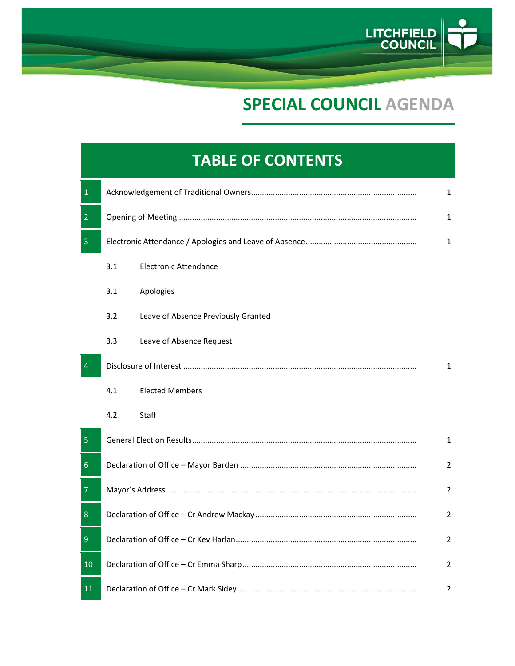

## **SPECIAL COUNCIL AGENDA**

## **TABLE OF CONTENTS** 1 Acknowledgement of Traditional Owners............................................................................ 1 2 Opening of Meeting ............................................................................................................. 1 3 Electronic Attendance / Apologies and Leave of Absence................................................... 1 3.1 Electronic Attendance 3.1 Apologies 3.2 Leave of Absence Previously Granted 3.3 Leave of Absence Request 4 Disclosure of Interest ........................................................................................................... 1 4.1 Elected Members 4.2 Staff 5 General Election Results....................................................................................................... 1 6 Declaration of Office – Mayor Barden ................................................................................. 2 7 Mayor's Address................................................................................................................... 2 8 Declaration of Office – Cr Andrew Mackay .......................................................................... 2 9 Declaration of Office – Cr Kev Harlan................................................................................... 2 10 Declaration of Office – Cr Emma Sharp................................................................................ 2 11 Declaration of Office – Cr Mark Sidey .................................................................................. 2